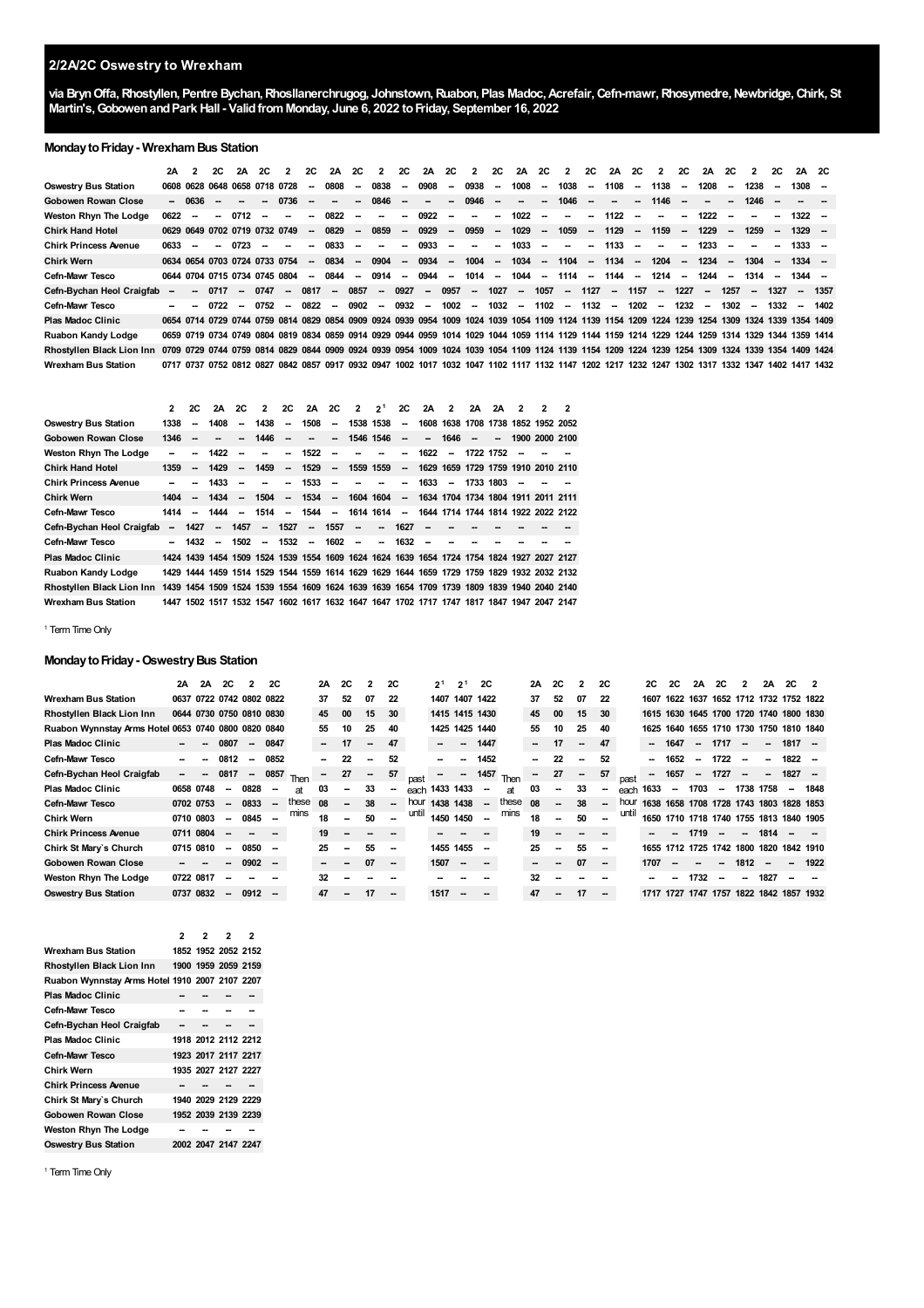## **2/2A/2C Oswestry to Wrexham**

**via BrynOffa,Rhostyllen, Pentre Bychan,Rhosllanerchrugog, Johnstown,Ruabon, Plas Madoc,Acrefair,Cefn-mawr,Rhosymedre,Newbridge,Chirk, St Martin's,GobowenandPark Hall - ValidfromMonday, June 6, 2022 toFriday, September 16, 2022**

#### **MondaytoFriday- WrexhamBus Station**

|                                                                                                                                                                            | 2A   | 2      | 2C                       | 2A                       | 2C                            | $\overline{2}$           | 2C                       | 2A                       | 2C     | $\overline{2}$ | 2C                       | 2A      | <b>2C</b> | $\overline{2}$           | 2C                       | 2A                       | 2C                       | $\overline{2}$                                                                                                                                   | 2C                       | 2A        | 2C                       | $\overline{2}$           | 2C                       | 2A                       | 2C                       | $\overline{2}$ | 2C                       | 2A 2C    |      |
|----------------------------------------------------------------------------------------------------------------------------------------------------------------------------|------|--------|--------------------------|--------------------------|-------------------------------|--------------------------|--------------------------|--------------------------|--------|----------------|--------------------------|---------|-----------|--------------------------|--------------------------|--------------------------|--------------------------|--------------------------------------------------------------------------------------------------------------------------------------------------|--------------------------|-----------|--------------------------|--------------------------|--------------------------|--------------------------|--------------------------|----------------|--------------------------|----------|------|
| <b>Oswestry Bus Station</b>                                                                                                                                                |      |        |                          |                          | 0608 0628 0648 0658 0718 0728 |                          | $\overline{\phantom{a}}$ | 0808                     | --     | 0838           | $\sim$                   | 0908    | $\sim$    | 0938                     | $\sim$                   | 1008                     | $\overline{\phantom{a}}$ | 1038                                                                                                                                             | $\sim$                   | 1108      | $\sim$                   | 1138                     | $\sim$                   | 1208                     | $\sim$                   | 1238           | $\overline{\phantom{a}}$ | $1308 -$ |      |
| Gobowen Rowan Close                                                                                                                                                        |      | - 0636 |                          |                          | $\sim$                        | 0736                     | -                        | $\overline{\phantom{a}}$ | --     | 0846           | $\overline{\phantom{a}}$ | --      | $\sim$    | 0946                     | $\sim$                   | $\overline{\phantom{a}}$ | $\overline{\phantom{a}}$ | 1046                                                                                                                                             | $\overline{\phantom{a}}$ | $\sim$    | $\sim$                   | 1146                     | $\overline{\phantom{a}}$ | $\overline{\phantom{a}}$ | $\sim$                   | 1246           |                          |          |      |
| <b>Weston Rhyn The Lodge</b>                                                                                                                                               | 0622 |        | -                        | 0712                     |                               |                          | $\overline{\phantom{a}}$ | 0822                     | $\sim$ | $\sim$         | --                       | 0922    | $\sim$    | $\overline{\phantom{a}}$ | $\sim$                   | 1022                     | $\overline{\phantom{a}}$ | $\overline{\phantom{a}}$                                                                                                                         | -                        | 1122      | $\overline{\phantom{a}}$ | $\overline{\phantom{a}}$ | $\sim$                   | 1222                     | $\overline{\phantom{a}}$ |                | $\overline{\phantom{a}}$ | $1322 -$ |      |
| <b>Chirk Hand Hotel</b>                                                                                                                                                    |      |        |                          |                          | 0629 0649 0702 0719 0732 0749 |                          | $\sim$                   | 0829                     | $\sim$ | 0859           |                          | $-0929$ | $\sim$    | 0959                     |                          | $-1029$                  | $\sim$                   | 1059                                                                                                                                             | $\sim$                   | 1129      | $\sim$                   | 1159                     | $\sim$                   | 1229                     | $\sim$                   | 1259           | $\sim$                   | $1329 -$ |      |
| <b>Chirk Princess Avenue</b>                                                                                                                                               | 0633 | -      | $\overline{\phantom{a}}$ | 0723                     | $\sim$                        | $\overline{\phantom{a}}$ | $\overline{\phantom{a}}$ | 0833                     | $\sim$ | $\sim$         | $\overline{\phantom{a}}$ | 0933    | $\sim$    | $\sim$                   | $\overline{\phantom{a}}$ | 1033                     | $\overline{\phantom{a}}$ | $\overline{\phantom{a}}$                                                                                                                         | -                        | 1133      | $\sim$                   | $\overline{\phantom{a}}$ | $\sim$                   | 1233                     | $\sim$                   |                |                          | $1333 -$ |      |
| Chirk Wern                                                                                                                                                                 |      |        |                          |                          | 0634 0654 0703 0724 0733 0754 |                          | $\sim$                   | 0834                     | $\sim$ | 0904           |                          |         |           | -- 0934 -- 1004          |                          | -- 1034                  | $\sim$                   | 1104 - 1134 -                                                                                                                                    |                          |           |                          | 1204 - 1234 -            |                          |                          |                          | 1304           | $\sim$                   | $1334 -$ |      |
| <b>Cefn-Mawr Tesco</b>                                                                                                                                                     |      |        |                          |                          | 0644 0704 0715 0734 0745 0804 |                          | $\sim$                   | 0844                     | $\sim$ | 0914           | $\sim$                   | 0944    | $\sim$    | 1014                     | $\sim$                   | 1044                     | $\sim$                   | 1114                                                                                                                                             |                          | -- 1144 - |                          | 1214                     | $\sim$                   | 1244                     | $\sim$                   | 1314 —         |                          | 1344 -   |      |
| Cefn-Bychan Heol Craigfab                                                                                                                                                  | -    | $\sim$ | 0717                     | $\overline{\phantom{a}}$ | 0747                          | $\sim$                   | 0817                     | $\overline{\phantom{a}}$ | 0857   |                | $-0927$                  | $\sim$  | 0957      | $\sim$                   | 1027                     | $\sim$                   | 1057                     |                                                                                                                                                  | $-1127$                  |           | $-1157$                  |                          | $-1227$                  | $\sim$                   | 1257 –                   |                | 1327                     | $\sim$   | 1357 |
| <b>Cefn-Mawr Tesco</b>                                                                                                                                                     |      |        | 0722                     | $\overline{\phantom{a}}$ | 0752                          | $\sim$                   | 0822                     | $\sim$                   | 0902   |                | $-0932$                  | $\sim$  | $1002 -$  |                          |                          | $1032 -$                 |                          | $1102 - 1132 -$                                                                                                                                  |                          |           | 1202 –                   |                          | $1232 -$                 |                          | $1302 -$                 |                | 1332                     | $\sim$   | 1402 |
| Plas Madoc Clinic                                                                                                                                                          |      |        |                          |                          |                               |                          |                          |                          |        |                |                          |         |           |                          |                          |                          |                          | 0654 0714 0729 0744 0759 0814 0829 0854 0909 0924 0939 0954 1009 1024 1039 1054 1109 1124 1139 1154 1209 1224 1239 1254 1309 1324 1339 1354 1409 |                          |           |                          |                          |                          |                          |                          |                |                          |          |      |
| Ruabon Kandy Lodge                                                                                                                                                         |      |        |                          |                          |                               |                          |                          |                          |        |                |                          |         |           |                          |                          |                          |                          | 0659 0719 0734 0749 0804 0819 0834 0859 0914 0929 0944 0959 1014 1029 1044 1059 1114 1129 1144 1159 1214 1229 1244 1259 1314 1329 1344 1359 1414 |                          |           |                          |                          |                          |                          |                          |                |                          |          |      |
| Rhostyllen Black Lion Inn 0709 0729 0744 0759 0814 0829 0844 0909 0924 0939 0954 1009 1024 1039 1054 1109 1124 1139 1154 1209 1224 1239 1254 1309 1324 1339 1354 1409 1424 |      |        |                          |                          |                               |                          |                          |                          |        |                |                          |         |           |                          |                          |                          |                          |                                                                                                                                                  |                          |           |                          |                          |                          |                          |                          |                |                          |          |      |
| <b>Wrexham Bus Station</b>                                                                                                                                                 |      |        |                          |                          |                               |                          |                          |                          |        |                |                          |         |           |                          |                          |                          |                          | 0717 0737 0752 0812 0827 0842 0857 0917 0932 0947 1002 1017 1032 1047 1102 1117 1132 1147 1202 1217 1232 1247 1302 1317 1332 1347 1402 1417 1432 |                          |           |                          |                          |                          |                          |                          |                |                          |          |      |

|                              | $\mathbf{z}$ | <b>2C</b>                                                                                 | 2A                       | - 2C                     | $\overline{\phantom{a}}$ | 2C                       | 2A 2C                    |                          | $2 \t2^{1} \t2C$         |                          |                          | 2A 2                     |        | 2A        | 2A | $\overline{2}$                     | 2 | $\overline{2}$ |
|------------------------------|--------------|-------------------------------------------------------------------------------------------|--------------------------|--------------------------|--------------------------|--------------------------|--------------------------|--------------------------|--------------------------|--------------------------|--------------------------|--------------------------|--------|-----------|----|------------------------------------|---|----------------|
| <b>Oswestry Bus Station</b>  | 1338         | $\overline{\phantom{a}}$                                                                  | 1408                     | $\overline{\phantom{a}}$ | 1438                     | $\overline{\phantom{a}}$ | 1508                     | $\overline{\phantom{a}}$ |                          | 1538 1538                | $\overline{\phantom{a}}$ |                          |        |           |    | 1608 1638 1708 1738 1852 1952 2052 |   |                |
| Gobowen Rowan Close          | 1346         | $\overline{\phantom{a}}$                                                                  |                          | $\sim$                   | 1446                     | $\sim$                   | $\overline{\phantom{a}}$ | $\overline{\phantom{a}}$ |                          | 1546 1546                | $\sim$                   | $\overline{\phantom{a}}$ | 1646   | $\sim$    | -- | 1900 2000 2100                     |   |                |
| <b>Weston Rhyn The Lodge</b> |              |                                                                                           | 1422                     | $\overline{\phantom{a}}$ |                          | $\sim$                   | 1522                     | $\overline{\phantom{a}}$ |                          |                          | $\overline{\phantom{a}}$ | 1622                     | $\sim$ | 1722 1752 |    | $\overline{\phantom{a}}$           |   |                |
| <b>Chirk Hand Hotel</b>      | 1359         | $\sim$                                                                                    | 1429                     | $\overline{\phantom{a}}$ | 1459                     | $\overline{\phantom{a}}$ | 1529                     | $\overline{\phantom{a}}$ |                          | 1559 1559                | --                       |                          |        |           |    | 1629 1659 1729 1759 1910 2010 2110 |   |                |
| <b>Chirk Princess Avenue</b> |              |                                                                                           | 1433                     | $\overline{\phantom{a}}$ |                          | $\sim$                   | 1533                     | $\sim$                   | $\overline{\phantom{a}}$ | $\sim$                   | $\overline{\phantom{a}}$ | 1633                     | $\sim$ | 1733 1803 |    | $\overline{\phantom{a}}$           |   |                |
| <b>Chirk Wern</b>            | 1404         | $\sim$                                                                                    | 1434                     | $\overline{\phantom{a}}$ | 1504                     | $\sim$                   | 1534                     | $\sim$                   |                          | 1604 1604                | --                       |                          |        |           |    | 1634 1704 1734 1804 1911 2011 2111 |   |                |
| Cefn-Mawr Tesco              | 1414         | $\sim$                                                                                    | 1444                     | $\overline{\phantom{a}}$ | 1514                     |                          | $-1544 -$                |                          |                          | 1614 1614                | $\sim$                   |                          |        |           |    | 1644 1714 1744 1814 1922 2022 2122 |   |                |
| Cefn-Bychan Heol Craigfab    |              | $-1427$                                                                                   | $\sim$ $\sim$            | 1457                     |                          | $-1527$                  |                          | $- 1557$                 | $\sim$                   | $\overline{\phantom{a}}$ | 1627                     |                          |        |           |    |                                    |   |                |
| Cefn-Mawr Tesco              |              | 1432                                                                                      | $\overline{\phantom{a}}$ | 1502                     |                          | $-1532 -$                |                          | 1602                     | $\sim$                   | $\overline{\phantom{a}}$ | 1632                     | $\overline{\phantom{a}}$ |        |           |    |                                    |   |                |
| <b>Plas Madoc Clinic</b>     |              | 1424 1439 1454 1509 1524 1539 1554 1609 1624 1624 1639 1654 1724 1754 1824 1927 2027 2127 |                          |                          |                          |                          |                          |                          |                          |                          |                          |                          |        |           |    |                                    |   |                |
| Ruabon Kandy Lodge           |              | 1429 1444 1459 1514 1529 1544 1559 1614 1629 1629 1644 1659 1729 1759 1829 1932 2032 2132 |                          |                          |                          |                          |                          |                          |                          |                          |                          |                          |        |           |    |                                    |   |                |
| Rhostyllen Black Lion Inn    |              | 1439 1454 1509 1524 1539 1554 1609 1624 1639 1639 1654 1709 1739 1809 1839 1940 2040 2140 |                          |                          |                          |                          |                          |                          |                          |                          |                          |                          |        |           |    |                                    |   |                |
| <b>Wrexham Bus Station</b>   |              | 1447 1502 1517 1532 1547 1602 1617 1632 1647 1647 1702 1717 1747 1817 1847 1947 2047 2147 |                          |                          |                          |                          |                          |                          |                          |                          |                          |                          |        |           |    |                                    |   |                |

#### <span id="page-0-0"></span><sup>1</sup> Term Time Only

## **Monday to Friday - Oswestry Bus Station**

|                                                     | 2A              | 2A | 2C                       | $\overline{2}$ | <b>2C</b>                |       | 2A                       | <b>2C</b> | 2                        | <b>2C</b>                |       | 2 <sup>1</sup> | 2 <sup>1</sup> | <b>2C</b>                |       | 2A | 2C                       | 2                        | 2C                       |       | 2C   | 2C                       | 2A                       | <b>2C</b>                               | $\overline{2}$           | 2A                       | <b>2C</b> | -2   |
|-----------------------------------------------------|-----------------|----|--------------------------|----------------|--------------------------|-------|--------------------------|-----------|--------------------------|--------------------------|-------|----------------|----------------|--------------------------|-------|----|--------------------------|--------------------------|--------------------------|-------|------|--------------------------|--------------------------|-----------------------------------------|--------------------------|--------------------------|-----------|------|
| <b>Wrexham Bus Station</b>                          |                 |    | 0637 0722 0742 0802 0822 |                |                          |       | 37                       | 52        | 07                       | 22                       |       | 1407           |                | 1407 1422                |       | 37 | 52                       | 07                       | 22                       |       | 1607 |                          |                          | 1622 1637 1652 1712 1732 1752 1822      |                          |                          |           |      |
| Rhostyllen Black Lion Inn                           |                 |    | 0644 0730 0750 0810 0830 |                |                          |       | 45                       | 00        | 15                       | 30                       |       | 1415 1415 1430 |                |                          |       | 45 | 00                       | 15                       | 30                       |       |      |                          |                          | 1615 1630 1645 1700 1720 1740 1800 1830 |                          |                          |           |      |
| Ruabon Wynnstay Arms Hotel 0653 0740 0800 0820 0840 |                 |    |                          |                |                          |       | 55                       | 10        | 25                       | 40                       |       | 1425           |                | 1425 1440                |       | 55 | 10                       | 25                       | 40                       |       | 1625 |                          |                          | 1640 1655 1710 1730 1750 1810 1840      |                          |                          |           |      |
| <b>Plas Madoc Clinic</b>                            |                 |    | 0807                     | $\sim$         | 0847                     |       | $\overline{\phantom{a}}$ | 17        | $\overline{\phantom{a}}$ | 47                       |       |                | -              | 1447                     |       | -  | 17                       | $\overline{\phantom{a}}$ | 47                       |       |      | 1647                     | $\overline{\phantom{a}}$ | 1717                                    | $\overline{\phantom{a}}$ | $\overline{\phantom{a}}$ | $1817 -$  |      |
| <b>Cefn-Mawr Tesco</b>                              |                 |    | 0812                     | $\sim$         | 0852                     |       |                          | 22        | -                        | 52                       |       |                |                | 1452                     |       |    | 22                       |                          | 52                       |       |      | 1652                     | $\sim$                   | 1722                                    | $\sim$                   | --                       | $1822 -$  |      |
| Cefn-Bychan Heol Craigfab                           | $\qquad \qquad$ |    | 0817                     | $\sim$         | 0857                     | Then  | $\overline{\phantom{a}}$ | 27        | $\overline{\phantom{a}}$ | 57                       | past  |                |                | 1457                     | Then  |    | 27                       | $\sim$                   | 57                       | past  |      | 1657                     | $\overline{\phantom{a}}$ | 1727                                    |                          | --                       | $1827 -$  |      |
| <b>Plas Madoc Clinic</b>                            | 0658 0748       |    | $\overline{\phantom{a}}$ | 0828           | $\sim$                   | at    | 03                       |           | 33                       | $\overline{\phantom{a}}$ | each  | 1433 1433      |                | $\overline{\phantom{a}}$ | at    | 03 | -                        | 33                       | $\overline{\phantom{a}}$ | each  | 1633 | $\overline{\phantom{a}}$ | 1703                     | $\sim$                                  | 1738 1758                |                          |           | 1848 |
| <b>Cefn-Mawr Tesco</b>                              | 0702 0753       |    | --                       | 0833           | $\overline{\phantom{a}}$ | these | 08                       |           | 38                       | $\overline{\phantom{a}}$ | hour  | 1438           | 1438           | $\sim$                   | these | 08 | $\overline{\phantom{a}}$ | 38                       | $\sim$                   | hour  | 1638 |                          |                          | 1658 1708 1728 1743 1803 1828 1853      |                          |                          |           |      |
| <b>Chirk Wern</b>                                   | 0710 0803       |    | $\overline{\phantom{a}}$ | 0845           |                          | mins  | 18                       |           | 50                       |                          | until | 1450 1450      |                |                          | mins  | 18 | -                        | 50                       | $\overline{\phantom{a}}$ | until |      |                          |                          | 1650 1710 1718 1740 1755 1813 1840 1905 |                          |                          |           |      |
| <b>Chirk Princess Avenue</b>                        | 0711 0804       |    | $\overline{\phantom{a}}$ |                |                          |       | 19                       | $\sim$    |                          |                          |       |                |                |                          |       | 19 | $\overline{\phantom{a}}$ |                          |                          |       |      |                          | 1719                     | $\sim$                                  | $\sim$                   | 1814                     |           |      |
| Chirk St Mary's Church                              | 0715 0810       |    | $\overline{\phantom{a}}$ | 0850           | -                        |       | 25                       |           | 55                       | $\overline{\phantom{a}}$ |       | 1455 1455      |                | $\overline{\phantom{a}}$ |       | 25 | --                       | 55                       | $\overline{\phantom{a}}$ |       | 1655 |                          |                          | 1712 1725 1742 1800 1820 1842 1910      |                          |                          |           |      |
| <b>Gobowen Rowan Close</b>                          |                 |    | --                       | 0902           | $\overline{\phantom{a}}$ |       |                          |           | 07                       | $\overline{\phantom{a}}$ |       | 1507           |                |                          |       |    | --                       | 07                       | $\overline{\phantom{a}}$ |       | 1707 |                          |                          |                                         | 1812                     |                          |           | 1922 |
| Weston Rhyn The Lodge                               | 0722 0817       |    | --                       |                |                          |       | 32                       |           |                          |                          |       |                |                |                          |       | 32 |                          |                          |                          |       |      |                          | 1732                     |                                         |                          | 1827                     |           |      |
| <b>Oswestry Bus Station</b>                         | 0737 0832       |    | --                       | 0912           | -                        |       | 47                       |           | 17                       | -                        |       | 1517           |                |                          |       | 47 | --                       | 17                       | $\overline{\phantom{a}}$ |       |      |                          |                          | 1717 1727 1747 1757 1822 1842 1857 1932 |                          |                          |           |      |

|                                                | 2 | 2 | 2                   | 2 |
|------------------------------------------------|---|---|---------------------|---|
| Wrexham Bus Station                            |   |   | 1852 1952 2052 2152 |   |
| Rhostyllen Black Lion Inn                      |   |   | 1900 1959 2059 2159 |   |
| Ruabon Wynnstay Arms Hotel 1910 2007 2107 2207 |   |   |                     |   |
| <b>Plas Madoc Clinic</b>                       |   |   |                     |   |
| Cefn-Mawr Tesco                                |   |   |                     |   |
| Cefn-Bychan Heol Craigfab                      |   |   |                     |   |
| <b>Plas Madoc Clinic</b>                       |   |   | 1918 2012 2112 2212 |   |
| Cefn-Mawr Tesco                                |   |   | 1923 2017 2117 2217 |   |
| Chirk Wern                                     |   |   | 1935 2027 2127 2227 |   |
| <b>Chirk Princess Avenue</b>                   |   |   |                     |   |
| Chirk St Mary's Church                         |   |   | 1940 2029 2129 2229 |   |
| Gobowen Rowan Close                            |   |   | 1952 2039 2139 2239 |   |
| Weston Rhyn The Lodge                          |   |   |                     |   |
| <b>Oswestry Bus Station</b>                    |   |   | 2002 2047 2147 2247 |   |

<sup>1</sup> Term Time Only